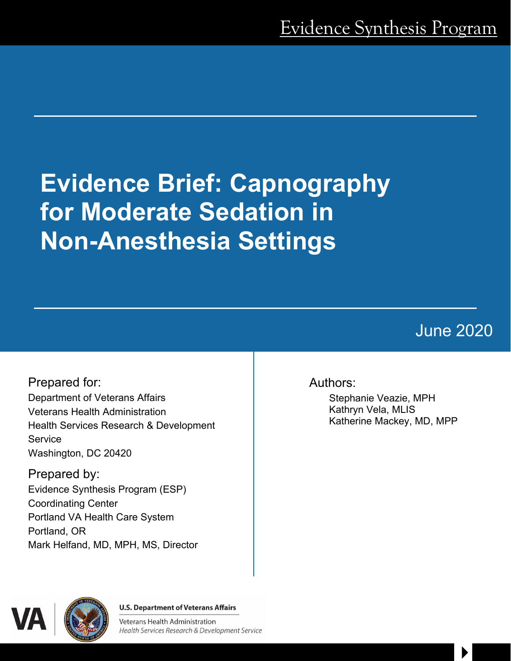# **Evidence Brief: Capnography for Moderate Sedation in Non-Anesthesia Settings**

# June 2020

 $\blacktriangleright$ 

Prepared for: Department of Veterans Affairs Veterans Health Administration Health Services Research & Development **Service** Washington, DC 20420

Prepared by: Evidence Synthesis Program (ESP) Coordinating Center Portland VA Health Care System Portland, OR Mark Helfand, MD, MPH, MS, Director

# Authors:

Stephanie Veazie, MPH Kathryn Vela, MLIS Katherine Mackey, MD, MPP



**U.S. Department of Veterans Affairs** 

**Veterans Health Administration** Health Services Research & Development Service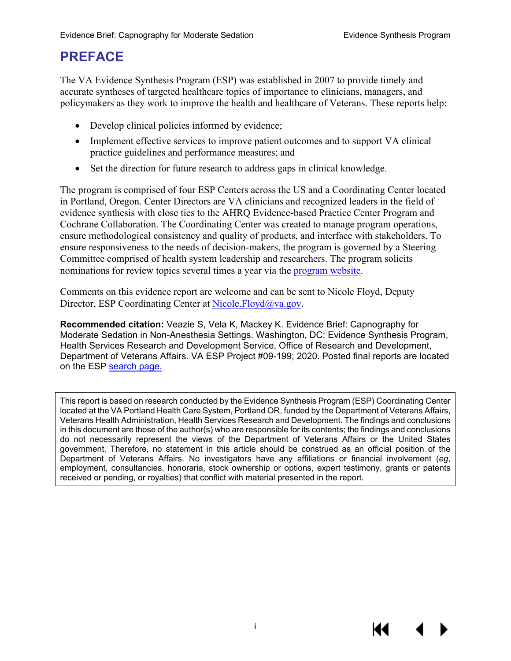# **PREFACE**

The VA Evidence Synthesis Program (ESP) was established in 2007 to provide timely and accurate syntheses of targeted healthcare topics of importance to clinicians, managers, and policymakers as they work to improve the health and healthcare of Veterans. These reports help:

- Develop clinical policies informed by evidence;
- Implement effective services to improve patient outcomes and to support VA clinical practice guidelines and performance measures; and
- Set the direction for future research to address gaps in clinical knowledge.

The program is comprised of four ESP Centers across the US and a Coordinating Center located in Portland, Oregon. Center Directors are VA clinicians and recognized leaders in the field of evidence synthesis with close ties to the AHRQ Evidence-based Practice Center Program and Cochrane Collaboration. The Coordinating Center was created to manage program operations, ensure methodological consistency and quality of products, and interface with stakeholders. To ensure responsiveness to the needs of decision-makers, the program is governed by a Steering Committee comprised of health system leadership and researchers. The program solicits nominations for review topics several times a year via the [program website.](https://www.hsrd.research.va.gov/publications/esp/TopicNomination.cfm)

Comments on this evidence report are welcome and can be sent to Nicole Floyd, Deputy Director, ESP Coordinating Center at [Nicole.Floyd@va.gov.](mailto:Nicole.Floyd@va.gov)

**Recommended citation:** Veazie S, Vela K, Mackey K. Evidence Brief: Capnography for Moderate Sedation in Non-Anesthesia Settings. Washington, DC: Evidence Synthesis Program, Health Services Research and Development Service, Office of Research and Development, Department of Veterans Affairs. VA ESP Project #09-199; 2020. Posted final reports are located on the ESP [search page.](https://www.hsrd.research.va.gov/publications/esp/reports.cfm)

This report is based on research conducted by the Evidence Synthesis Program (ESP) Coordinating Center located at the VA Portland Health Care System, Portland OR, funded by the Department of Veterans Affairs, Veterans Health Administration, Health Services Research and Development. The findings and conclusions in this document are those of the author(s) who are responsible for its contents; the findings and conclusions do not necessarily represent the views of the Department of Veterans Affairs or the United States government. Therefore, no statement in this article should be construed as an official position of the Department of Veterans Affairs. No investigators have any affiliations or financial involvement (*eg*, employment, consultancies, honoraria, stock ownership or options, expert testimony, grants or patents received or pending, or royalties) that conflict with material presented in the report.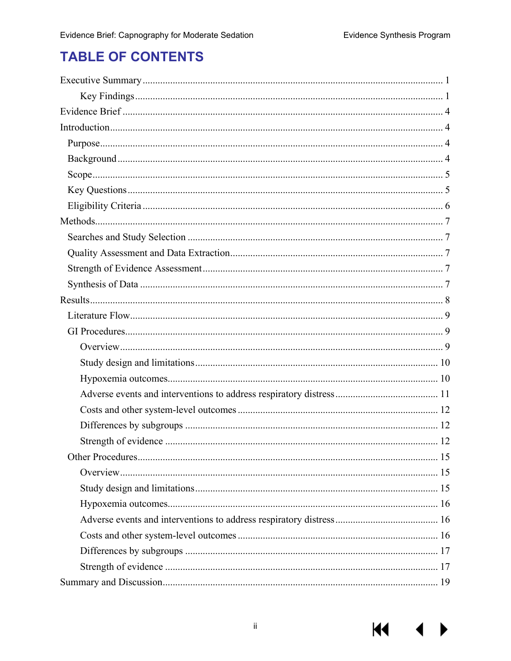# **TABLE OF CONTENTS**

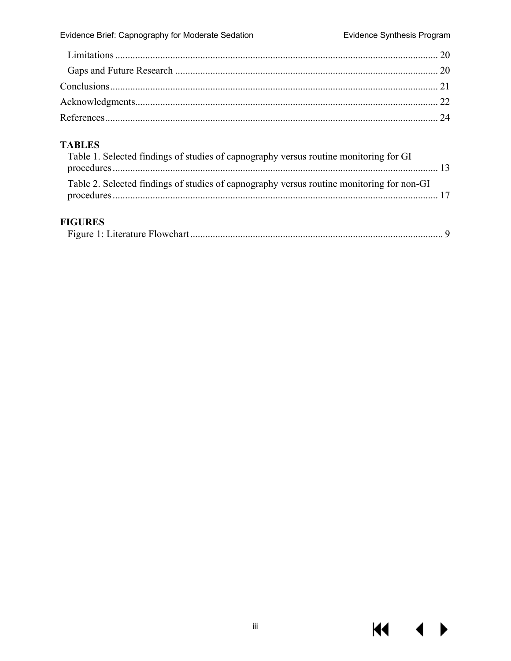$M \rightarrow$ 

## **TABLES**

| Table 1. Selected findings of studies of capnography versus routine monitoring for GI     |  |
|-------------------------------------------------------------------------------------------|--|
| Table 2. Selected findings of studies of capnography versus routine monitoring for non-GI |  |
|                                                                                           |  |

## **FIGURES**

|--|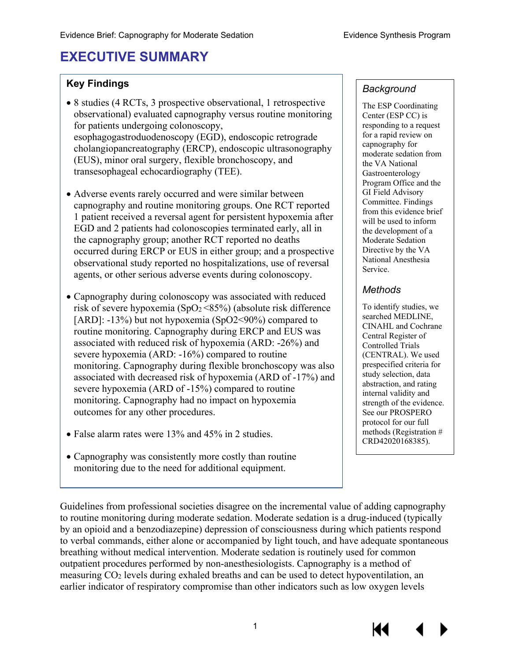# <span id="page-4-0"></span>**EXECUTIVE SUMMARY**

## **Key Findings**

- 8 studies (4 RCTs, 3 prospective observational, 1 retrospective observational) evaluated capnography versus routine monitoring for patients undergoing colonoscopy, esophagogastroduodenoscopy (EGD), endoscopic retrograde cholangiopancreatography (ERCP), endoscopic ultrasonography (EUS), minor oral surgery, flexible bronchoscopy, and transesophageal echocardiography (TEE).
- Adverse events rarely occurred and were similar between capnography and routine monitoring groups. One RCT reported 1 patient received a reversal agent for persistent hypoxemia after EGD and 2 patients had colonoscopies terminated early, all in the capnography group; another RCT reported no deaths occurred during ERCP or EUS in either group; and a prospective observational study reported no hospitalizations, use of reversal agents, or other serious adverse events during colonoscopy.
- Capnography during colonoscopy was associated with reduced risk of severe hypoxemia (SpO<sub>2</sub> <85%) (absolute risk difference [ARD]: -13%) but not hypoxemia (SpO2<90%) compared to routine monitoring. Capnography during ERCP and EUS was associated with reduced risk of hypoxemia (ARD: -26%) and severe hypoxemia (ARD: -16%) compared to routine monitoring. Capnography during flexible bronchoscopy was also associated with decreased risk of hypoxemia (ARD of -17%) and severe hypoxemia (ARD of -15%) compared to routine monitoring. Capnography had no impact on hypoxemia outcomes for any other procedures.
- False alarm rates were 13% and 45% in 2 studies.
- Capnography was consistently more costly than routine monitoring due to the need for additional equipment.

#### *Background*

The ESP Coordinating Center (ESP CC) is responding to a request for a rapid review on capnography for moderate sedation from the VA National Gastroenterology Program Office and the GI Field Advisory Committee. Findings from this evidence brief will be used to inform the development of a Moderate Sedation Directive by the VA National Anesthesia Service.

#### *Methods*

To identify studies, we searched MEDLINE, CINAHL and Cochrane Central Register of Controlled Trials (CENTRAL). We used prespecified criteria for study selection, data abstraction, and rating internal validity and strength of the evidence. See our PROSPERO protocol for our full methods (Registration # CRD42020168385).

Guidelines from professional societies disagree on the incremental value of adding capnography to routine monitoring during moderate sedation. Moderate sedation is a drug-induced (typically by an opioid and a benzodiazepine) depression of consciousness during which patients respond to verbal commands, either alone or accompanied by light touch, and have adequate spontaneous breathing without medical intervention. Moderate sedation is routinely used for common outpatient procedures performed by non-anesthesiologists. Capnography is a method of measuring CO2 levels during exhaled breaths and can be used to detect hypoventilation, an earlier indicator of respiratory compromise than other indicators such as low oxygen levels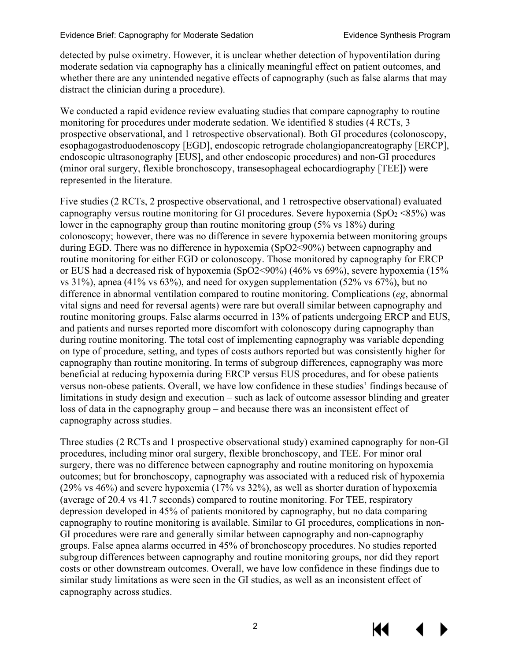detected by pulse oximetry. However, it is unclear whether detection of hypoventilation during moderate sedation via capnography has a clinically meaningful effect on patient outcomes, and whether there are any unintended negative effects of capnography (such as false alarms that may distract the clinician during a procedure).

We conducted a rapid evidence review evaluating studies that compare capnography to routine monitoring for procedures under moderate sedation. We identified 8 studies (4 RCTs, 3 prospective observational, and 1 retrospective observational). Both GI procedures (colonoscopy, esophagogastroduodenoscopy [EGD], endoscopic retrograde cholangiopancreatography [ERCP], endoscopic ultrasonography [EUS], and other endoscopic procedures) and non-GI procedures (minor oral surgery, flexible bronchoscopy, transesophageal echocardiography [TEE]) were represented in the literature.

Five studies (2 RCTs, 2 prospective observational, and 1 retrospective observational) evaluated capnography versus routine monitoring for GI procedures. Severe hypoxemia (SpO<sub>2</sub> <85%) was lower in the capnography group than routine monitoring group (5% vs 18%) during colonoscopy; however, there was no difference in severe hypoxemia between monitoring groups during EGD. There was no difference in hypoxemia (SpO2<90%) between capnography and routine monitoring for either EGD or colonoscopy. Those monitored by capnography for ERCP or EUS had a decreased risk of hypoxemia (SpO2<90%) (46% vs 69%), severe hypoxemia (15% vs 31%), apnea (41% vs 63%), and need for oxygen supplementation (52% vs 67%), but no difference in abnormal ventilation compared to routine monitoring. Complications (*eg*, abnormal vital signs and need for reversal agents) were rare but overall similar between capnography and routine monitoring groups. False alarms occurred in 13% of patients undergoing ERCP and EUS, and patients and nurses reported more discomfort with colonoscopy during capnography than during routine monitoring. The total cost of implementing capnography was variable depending on type of procedure, setting, and types of costs authors reported but was consistently higher for capnography than routine monitoring. In terms of subgroup differences, capnography was more beneficial at reducing hypoxemia during ERCP versus EUS procedures, and for obese patients versus non-obese patients. Overall, we have low confidence in these studies' findings because of limitations in study design and execution – such as lack of outcome assessor blinding and greater loss of data in the capnography group – and because there was an inconsistent effect of capnography across studies.

Three studies (2 RCTs and 1 prospective observational study) examined capnography for non-GI procedures, including minor oral surgery, flexible bronchoscopy, and TEE. For minor oral surgery, there was no difference between capnography and routine monitoring on hypoxemia outcomes; but for bronchoscopy, capnography was associated with a reduced risk of hypoxemia (29% vs 46%) and severe hypoxemia (17% vs 32%), as well as shorter duration of hypoxemia (average of 20.4 vs 41.7 seconds) compared to routine monitoring. For TEE, respiratory depression developed in 45% of patients monitored by capnography, but no data comparing capnography to routine monitoring is available. Similar to GI procedures, complications in non-GI procedures were rare and generally similar between capnography and non-capnography groups. False apnea alarms occurred in 45% of bronchoscopy procedures. No studies reported subgroup differences between capnography and routine monitoring groups, nor did they report costs or other downstream outcomes. Overall, we have low confidence in these findings due to similar study limitations as were seen in the GI studies, as well as an inconsistent effect of capnography across studies.

2

КK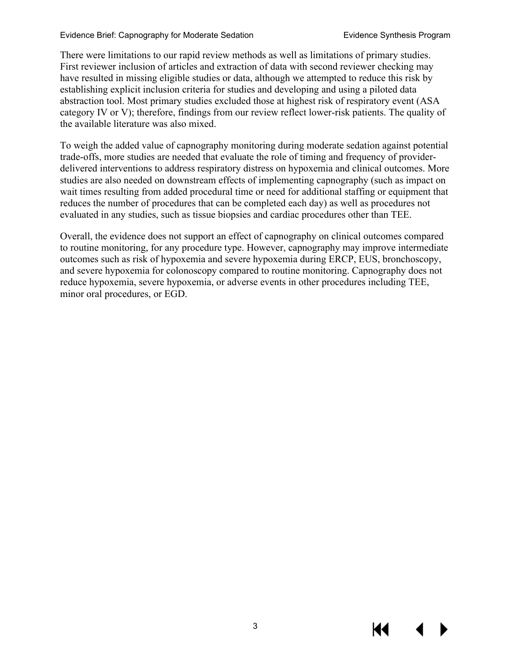#### Evidence Brief: Capnography for Moderate Sedation Evidence Synthesis Program

There were limitations to our rapid review methods as well as limitations of primary studies. First reviewer inclusion of articles and extraction of data with second reviewer checking may have resulted in missing eligible studies or data, although we attempted to reduce this risk by establishing explicit inclusion criteria for studies and developing and using a piloted data abstraction tool. Most primary studies excluded those at highest risk of respiratory event (ASA category IV or V); therefore, findings from our review reflect lower-risk patients. The quality of the available literature was also mixed.

To weigh the added value of capnography monitoring during moderate sedation against potential trade-offs, more studies are needed that evaluate the role of timing and frequency of providerdelivered interventions to address respiratory distress on hypoxemia and clinical outcomes. More studies are also needed on downstream effects of implementing capnography (such as impact on wait times resulting from added procedural time or need for additional staffing or equipment that reduces the number of procedures that can be completed each day) as well as procedures not evaluated in any studies, such as tissue biopsies and cardiac procedures other than TEE.

Overall, the evidence does not support an effect of capnography on clinical outcomes compared to routine monitoring, for any procedure type. However, capnography may improve intermediate outcomes such as risk of hypoxemia and severe hypoxemia during ERCP, EUS, bronchoscopy, and severe hypoxemia for colonoscopy compared to routine monitoring. Capnography does not reduce hypoxemia, severe hypoxemia, or adverse events in other procedures including TEE, minor oral procedures, or EGD.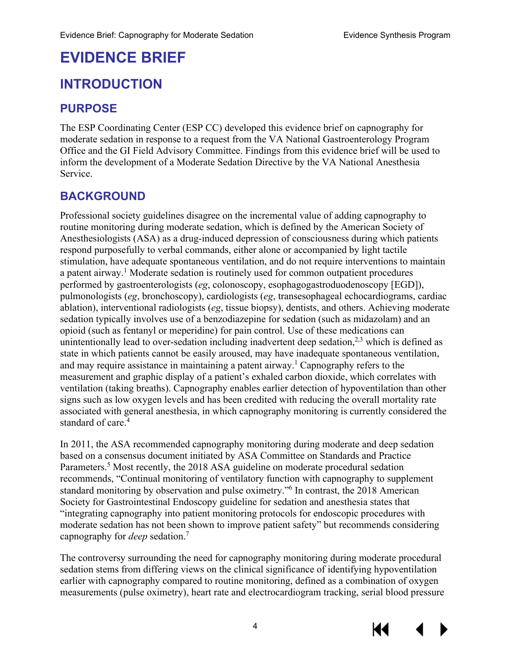# <span id="page-7-0"></span>**EVIDENCE BRIEF**

# <span id="page-7-1"></span>**INTRODUCTION**

# <span id="page-7-2"></span>**PURPOSE**

The ESP Coordinating Center (ESP CC) developed this evidence brief on capnography for moderate sedation in response to a request from the VA National Gastroenterology Program Office and the GI Field Advisory Committee. Findings from this evidence brief will be used to inform the development of a Moderate Sedation Directive by the VA National Anesthesia Service.

# <span id="page-7-3"></span>**BACKGROUND**

Professional society guidelines disagree on the incremental value of adding capnography to routine monitoring during moderate sedation, which is defined by the American Society of Anesthesiologists (ASA) as a drug-induced depression of consciousness during which patients respond purposefully to verbal commands, either alone or accompanied by light tactile stimulation, have adequate spontaneous ventilation, and do not require interventions to maintain a patent airway.<sup>[1](#page-27-1)</sup> Moderate sedation is routinely used for common outpatient procedures performed by gastroenterologists (*eg*, colonoscopy, esophagogastroduodenoscopy [EGD]), pulmonologists (*eg*, bronchoscopy), cardiologists (*eg*, transesophageal echocardiograms, cardiac ablation), interventional radiologists (*eg*, tissue biopsy), dentists, and others. Achieving moderate sedation typically involves use of a benzodiazepine for sedation (such as midazolam) and an opioid (such as fentanyl or meperidine) for pain control. Use of these medications can unintentionally lead to over-sedation including inadvertent deep sedation, $^{2,3}$  $^{2,3}$  $^{2,3}$  which is defined as state in which patients cannot be easily aroused, may have inadequate spontaneous ventilation, and may require assistance in maintaining a patent airway.<sup>1</sup> Capnography refers to the measurement and graphic display of a patient's exhaled carbon dioxide, which correlates with ventilation (taking breaths). Capnography enables earlier detection of hypoventilation than other signs such as low oxygen levels and has been credited with reducing the overall mortality rate associated with general anesthesia, in which capnography monitoring is currently considered the standard of care[.](#page-27-4)<sup>4</sup>

In 2011, the ASA recommended capnography monitoring during moderate and deep sedation based on a consensus document initiated by ASA Committee on Standards and Practice Parameters.<sup>5</sup> Most recently, the 2018 ASA guideline on moderate procedural sedation recommends, "Continual monitoring of ventilatory function with capnography to supplement standard monitoring by observation and pulse oximetry."<sup>6</sup> In contrast, the 2018 American Society for Gastrointestinal Endoscopy guideline for sedation and anesthesia states that "integrating capnography into patient monitoring protocols for endoscopic procedures with moderate sedation has not been shown to improve patient safety" but recommends considering capnography for *deep* sedation[.7](#page-27-7)

The controversy surrounding the need for capnography monitoring during moderate procedural sedation stems from differing views on the clinical significance of identifying hypoventilation earlier with capnography compared to routine monitoring, defined as a combination of oxygen measurements (pulse oximetry), heart rate and electrocardiogram tracking, serial blood pressure

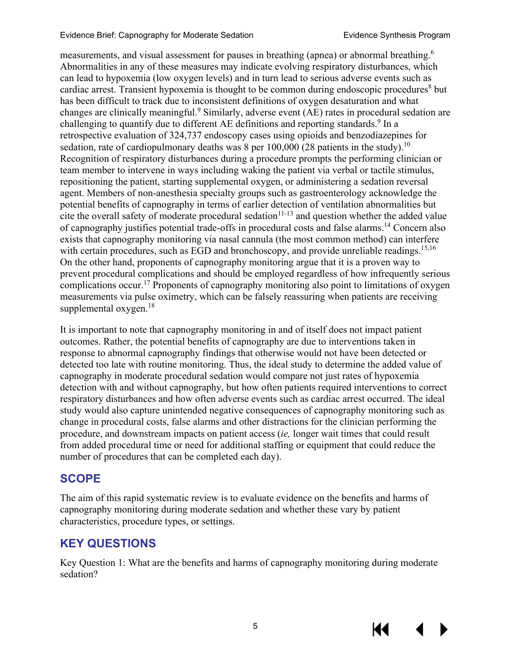#### Evidence Brief: Capnography for Moderate Sedation Evidence Synthesis Program

measurements, and visual assessment for pauses in breathing (apnea) or abnormal breathing.[6](#page-27-6) Abnormalities in any of these measures may indicate evolving respiratory disturbances, which can lead to hypoxemia (low oxygen levels) and in turn lead to serious adverse events such as cardiac arrest. Transient hypoxemia is thought to be common during endoscopic procedures<sup>[8](#page-27-8)</sup> but has been difficult to track due to inconsistent definitions of oxygen desaturation and what changes are clinically meaningful.[9](#page-27-9) Similarly, adverse event (AE) rates in procedural sedation are challenging to quantify due to different AE definitions and reporting standards.<sup>9</sup> In a retrospective evaluation of 324,737 endoscopy cases using opioids and benzodiazepines for sedation, rate of cardiopulmonary deaths was 8 per [10](#page-27-10)0,000 (28 patients in the study).<sup>10</sup> Recognition of respiratory disturbances during a procedure prompts the performing clinician or team member to intervene in ways including waking the patient via verbal or tactile stimulus, repositioning the patient, starting supplemental oxygen, or administering a sedation reversal agent. Members of non-anesthesia specialty groups such as gastroenterology acknowledge the potential benefits of capnography in terms of earlier detection of ventilation abnormalities but cite the overall safety of moderate procedural sedation<sup>11-13</sup> and question whether the added value of capnography justifies potential trade-offs in procedural costs and false alarms.[14](#page-27-12) Concern also exists that capnography monitoring via nasal cannula (the most common method) can interfere with certain procedures, such as EGD and bronchoscopy, and provide unreliable readings.<sup>[15,](#page-27-13)[16](#page-28-0)</sup> On the other hand, proponents of capnography monitoring argue that it is a proven way to prevent procedural complications and should be employed regardless of how infrequently serious complications occur[.17](#page-28-1) Proponents of capnography monitoring also point to limitations of oxygen measurements via pulse oximetry, which can be falsely reassuring when patients are receiving supplemental oxygen.<sup>18</sup>

It is important to note that capnography monitoring in and of itself does not impact patient outcomes. Rather, the potential benefits of capnography are due to interventions taken in response to abnormal capnography findings that otherwise would not have been detected or detected too late with routine monitoring. Thus, the ideal study to determine the added value of capnography in moderate procedural sedation would compare not just rates of hypoxemia detection with and without capnography, but how often patients required interventions to correct respiratory disturbances and how often adverse events such as cardiac arrest occurred. The ideal study would also capture unintended negative consequences of capnography monitoring such as change in procedural costs, false alarms and other distractions for the clinician performing the procedure, and downstream impacts on patient access (*ie,* longer wait times that could result from added procedural time or need for additional staffing or equipment that could reduce the number of procedures that can be completed each day).

# <span id="page-8-0"></span>**SCOPE**

The aim of this rapid systematic review is to evaluate evidence on the benefits and harms of capnography monitoring during moderate sedation and whether these vary by patient characteristics, procedure types, or settings.

# <span id="page-8-1"></span>**KEY QUESTIONS**

Key Question 1: What are the benefits and harms of capnography monitoring during moderate sedation?

KK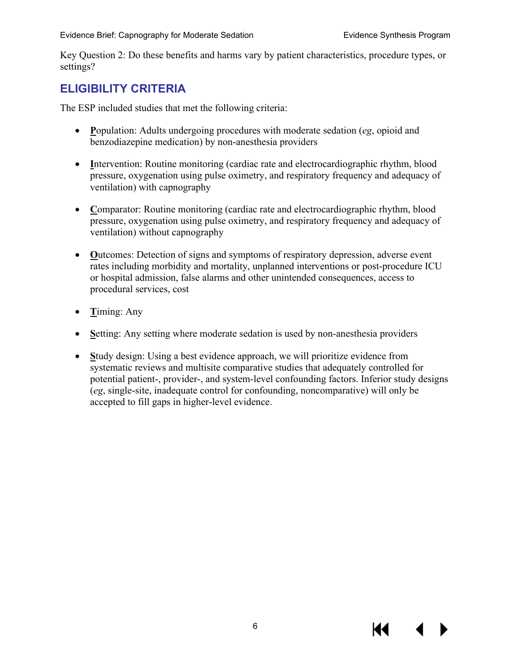Key Question 2: Do these benefits and harms vary by patient characteristics, procedure types, or settings?

# <span id="page-9-0"></span>**ELIGIBILITY CRITERIA**

The ESP included studies that met the following criteria:

- **P**opulation: Adults undergoing procedures with moderate sedation (*eg*, opioid and benzodiazepine medication) by non-anesthesia providers
- Intervention: Routine monitoring (cardiac rate and electrocardiographic rhythm, blood pressure, oxygenation using pulse oximetry, and respiratory frequency and adequacy of ventilation) with capnography
- Comparator: Routine monitoring (cardiac rate and electrocardiographic rhythm, blood pressure, oxygenation using pulse oximetry, and respiratory frequency and adequacy of ventilation) without capnography
- **O**utcomes: Detection of signs and symptoms of respiratory depression, adverse event rates including morbidity and mortality, unplanned interventions or post-procedure ICU or hospital admission, false alarms and other unintended consequences, access to procedural services, cost
- **T**iming: Any
- Setting: Any setting where moderate sedation is used by non-anesthesia providers
- **S**tudy design: Using a best evidence approach, we will prioritize evidence from systematic reviews and multisite comparative studies that adequately controlled for potential patient-, provider-, and system-level confounding factors. Inferior study designs (*eg*, single-site, inadequate control for confounding, noncomparative) will only be accepted to fill gaps in higher-level evidence.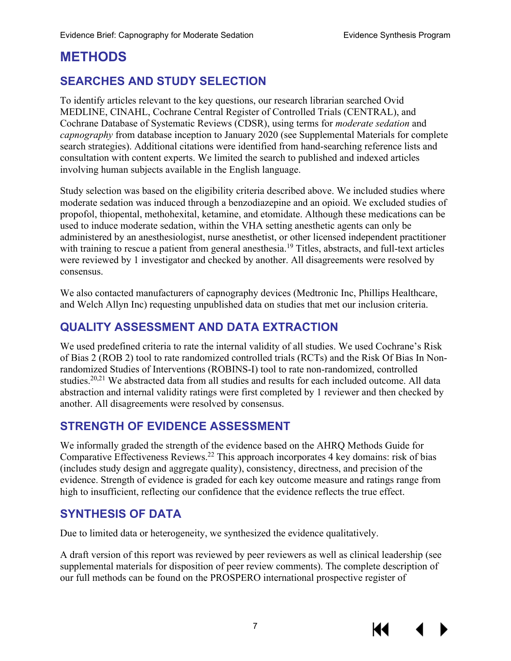# <span id="page-10-0"></span>**METHODS**

# <span id="page-10-1"></span>**SEARCHES AND STUDY SELECTION**

To identify articles relevant to the key questions, our research librarian searched Ovid MEDLINE, CINAHL, Cochrane Central Register of Controlled Trials (CENTRAL), and Cochrane Database of Systematic Reviews (CDSR), using terms for *moderate sedation* and *capnography* from database inception to January 2020 (see Supplemental Materials for complete search strategies). Additional citations were identified from hand-searching reference lists and consultation with content experts. We limited the search to published and indexed articles involving human subjects available in the English language.

Study selection was based on the eligibility criteria described above. We included studies where moderate sedation was induced through a benzodiazepine and an opioid. We excluded studies of propofol, thiopental, methohexital, ketamine, and etomidate. Although these medications can be used to induce moderate sedation, within the VHA setting anesthetic agents can only be administered by an anesthesiologist, nurse anesthetist, or other licensed independent practitioner with training to rescue a patient from general anesthesia.<sup>[19](#page-28-3)</sup> Titles, abstracts, and full-text articles were reviewed by 1 investigator and checked by another. All disagreements were resolved by consensus.

We also contacted manufacturers of capnography devices (Medtronic Inc, Phillips Healthcare, and Welch Allyn Inc) requesting unpublished data on studies that met our inclusion criteria.

## <span id="page-10-2"></span>**QUALITY ASSESSMENT AND DATA EXTRACTION**

We used predefined criteria to rate the internal validity of all studies. We used Cochrane's Risk of Bias 2 (ROB 2) tool to rate randomized controlled trials (RCTs) and the Risk Of Bias In Nonrandomized Studies of Interventions (ROBINS-I) tool to rate non-randomized, controlled studies.<sup>[20,](#page-28-4)[21](#page-28-5)</sup> We abstracted data from all studies and results for each included outcome. All data abstraction and internal validity ratings were first completed by 1 reviewer and then checked by another. All disagreements were resolved by consensus.

## <span id="page-10-3"></span>**STRENGTH OF EVIDENCE ASSESSMENT**

We informally graded the strength of the evidence based on the AHRQ Methods Guide for Comparative Effectiveness Reviews.[22](#page-28-6) This approach incorporates 4 key domains: risk of bias (includes study design and aggregate quality), consistency, directness, and precision of the evidence. Strength of evidence is graded for each key outcome measure and ratings range from high to insufficient, reflecting our confidence that the evidence reflects the true effect.

## <span id="page-10-4"></span>**SYNTHESIS OF DATA**

Due to limited data or heterogeneity, we synthesized the evidence qualitatively.

A draft version of this report was reviewed by peer reviewers as well as clinical leadership (see supplemental materials for disposition of peer review comments). The complete description of our full methods can be found on the PROSPERO international prospective register of



KI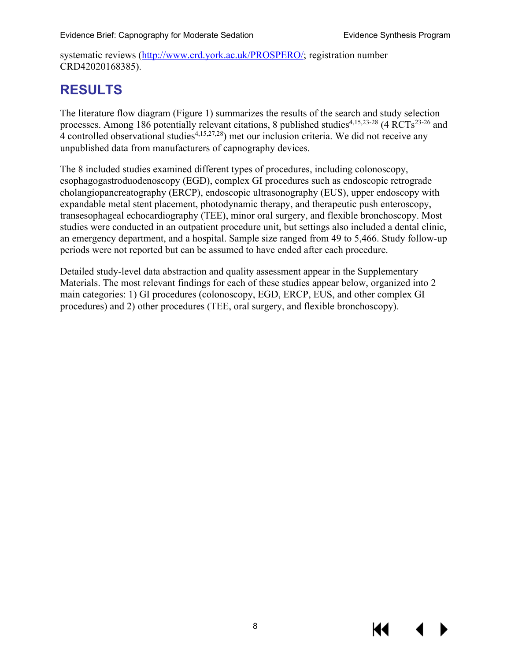systematic reviews [\(http://www.crd.york.ac.uk/PROSPERO/;](http://www.crd.york.ac.uk/PROSPERO/) registration number CRD42020168385).

# <span id="page-11-0"></span>**RESULTS**

The literature flow diagram (Figure 1) summarizes the results of the search and study selection processes. Among 186 potentially relevant citations, 8 published studies<sup>[4,](#page-27-4)[15,](#page-27-13)[23-28](#page-28-7)</sup> (4 RCTs<sup>[23-26](#page-28-7)</sup> and 4 controlled observational studies<sup>[4,](#page-27-4)[15,](#page-27-13)[27,](#page-28-8)28</sup>) met our inclusion criteria. We did not receive any unpublished data from manufacturers of capnography devices.

The 8 included studies examined different types of procedures, including colonoscopy, esophagogastroduodenoscopy (EGD), complex GI procedures such as endoscopic retrograde cholangiopancreatography (ERCP), endoscopic ultrasonography (EUS), upper endoscopy with expandable metal stent placement, photodynamic therapy, and therapeutic push enteroscopy, transesophageal echocardiography (TEE), minor oral surgery, and flexible bronchoscopy. Most studies were conducted in an outpatient procedure unit, but settings also included a dental clinic, an emergency department, and a hospital. Sample size ranged from 49 to 5,466. Study follow-up periods were not reported but can be assumed to have ended after each procedure.

Detailed study-level data abstraction and quality assessment appear in the Supplementary Materials. The most relevant findings for each of these studies appear below, organized into 2 main categories: 1) GI procedures (colonoscopy, EGD, ERCP, EUS, and other complex GI procedures) and 2) other procedures (TEE, oral surgery, and flexible bronchoscopy).

К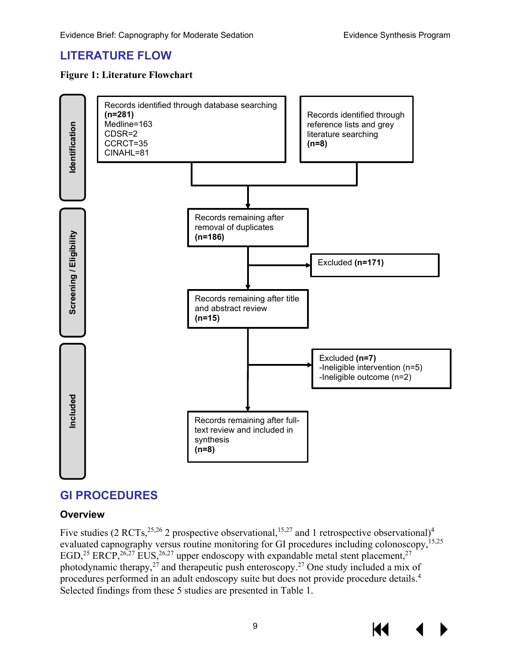# <span id="page-12-0"></span>**LITERATURE FLOW**

#### <span id="page-12-3"></span>**Figure 1: Literature Flowchart**



# <span id="page-12-1"></span>**GI PROCEDURES**

#### <span id="page-12-2"></span>**Overview**

Five studies (2 RCTs,  $^{25,26}$  2 prospective observational,  $^{15,27}$  $^{15,27}$  $^{15,27}$  and 1 retrospective observational)<sup>4</sup> evaluated capnography versus routine monitoring for GI procedures including colonoscopy,<sup>[15](#page-27-13)[,25](#page-28-10)</sup> EGD,<sup>[25](#page-28-10)</sup> ERCP,<sup>26,[27](#page-28-8)</sup> EUS,<sup>[26,](#page-28-11)27</sup> upper endoscopy with expandable metal stent placement,<sup>27</sup> photodynamic therapy,  $27$  and therapeutic push enteroscopy.  $27$  One study included a mix of procedures performed in an adult endoscopy suite but does not provide procedure details[.4](#page-27-4) Selected findings from these 5 studies are presented in Table 1.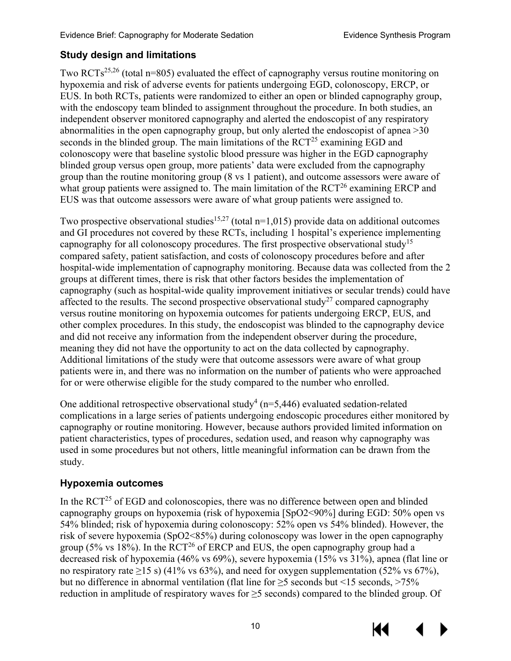## <span id="page-13-0"></span>**Study design and limitations**

Two RCTs<sup>[25](#page-28-10)[,26](#page-28-11)</sup> (total n=805) evaluated the effect of capnography versus routine monitoring on hypoxemia and risk of adverse events for patients undergoing EGD, colonoscopy, ERCP, or EUS. In both RCTs, patients were randomized to either an open or blinded capnography group, with the endoscopy team blinded to assignment throughout the procedure. In both studies, an independent observer monitored capnography and alerted the endoscopist of any respiratory abnormalities in the open capnography group, but only alerted the endoscopist of apnea >30 seconds in the blinded group. The main limitations of the  $RCT<sup>25</sup>$  examining EGD and colonoscopy were that baseline systolic blood pressure was higher in the EGD capnography blinded group versus open group, more patients' data were excluded from the capnography group than the routine monitoring group (8 vs 1 patient), and outcome assessors were aware of what group patients were assigned to. The main limitation of the  $RCT<sup>26</sup>$  examining ERCP and EUS was that outcome assessors were aware of what group patients were assigned to.

Two prospective observational studies<sup>[15,](#page-27-13)[27](#page-28-8)</sup> (total  $n=1,015$ ) provide data on additional outcomes and GI procedures not covered by these RCTs, including 1 hospital's experience implementing capnography for all colonoscopy procedures. The first prospective observational study<sup>15</sup> compared safety, patient satisfaction, and costs of colonoscopy procedures before and after hospital-wide implementation of capnography monitoring. Because data was collected from the 2 groups at different times, there is risk that other factors besides the implementation of capnography (such as hospital-wide quality improvement initiatives or secular trends) could have affected to the results. The second prospective observational study<sup>[27](#page-28-8)</sup> compared capnography versus routine monitoring on hypoxemia outcomes for patients undergoing ERCP, EUS, and other complex procedures. In this study, the endoscopist was blinded to the capnography device and did not receive any information from the independent observer during the procedure, meaning they did not have the opportunity to act on the data collected by capnography. Additional limitations of the study were that outcome assessors were aware of what group patients were in, and there was no information on the number of patients who were approached for or were otherwise eligible for the study compared to the number who enrolled.

One additional retrospective observational study<sup>[4](#page-27-4)</sup> ( $n=5,446$ ) evaluated sedation-related complications in a large series of patients undergoing endoscopic procedures either monitored by capnography or routine monitoring. However, because authors provided limited information on patient characteristics, types of procedures, sedation used, and reason why capnography was used in some procedures but not others, little meaningful information can be drawn from the study.

## <span id="page-13-1"></span>**Hypoxemia outcomes**

In the  $\text{RCT}^{25}$  of EGD and colonoscopies, there was no difference between open and blinded capnography groups on hypoxemia (risk of hypoxemia [SpO2<90%] during EGD: 50% open vs 54% blinded; risk of hypoxemia during colonoscopy: 52% open vs 54% blinded). However, the risk of severe hypoxemia (SpO2<85%) during colonoscopy was lower in the open capnography group (5% vs  $18\%$ ). In the RCT<sup>26</sup> of ERCP and EUS, the open capnography group had a decreased risk of hypoxemia (46% vs 69%), severe hypoxemia (15% vs 31%), apnea (flat line or no respiratory rate ≥15 s) (41% vs 63%), and need for oxygen supplementation (52% vs 67%), but no difference in abnormal ventilation (flat line for  $\geq$ 5 seconds but <15 seconds, >75% reduction in amplitude of respiratory waves for ≥5 seconds) compared to the blinded group. Of

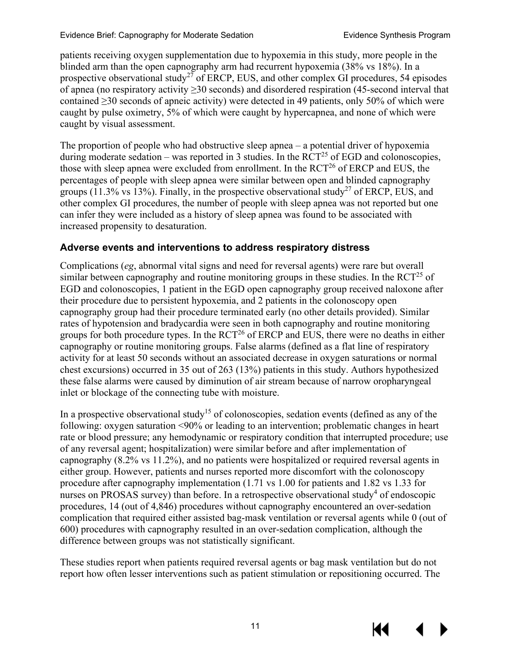patients receiving oxygen supplementation due to hypoxemia in this study, more people in the blinded arm than the open capnography arm had recurrent hypoxemia (38% vs 18%). In a prospective observational study<sup>[27](#page-28-8)</sup> of ERCP, EUS, and other complex GI procedures, 54 episodes of apnea (no respiratory activity ≥30 seconds) and disordered respiration (45-second interval that contained ≥30 seconds of apneic activity) were detected in 49 patients, only 50% of which were caught by pulse oximetry, 5% of which were caught by hypercapnea, and none of which were caught by visual assessment.

The proportion of people who had obstructive sleep apnea – a potential driver of hypoxemia during moderate sedation – was reported in 3 studies. In the  $\rm RCT^{25}$  of EGD and colonoscopies, those with sleep apnea were excluded from enrollment. In the RCT<sup>26</sup> of ERCP and EUS, the percentages of people with sleep apnea were similar between open and blinded capnography groups (11.3% vs 13%). Finally, in the prospective observational study<sup>27</sup> of ERCP, EUS, and other complex GI procedures, the number of people with sleep apnea was not reported but one can infer they were included as a history of sleep apnea was found to be associated with increased propensity to desaturation.

## <span id="page-14-0"></span>**Adverse events and interventions to address respiratory distress**

Complications (*eg*, abnormal vital signs and need for reversal agents) were rare but overall similar between capnography and routine monitoring groups in these studies. In the  $\text{RCT}^{25}$  of EGD and colonoscopies, 1 patient in the EGD open capnography group received naloxone after their procedure due to persistent hypoxemia, and 2 patients in the colonoscopy open capnography group had their procedure terminated early (no other details provided). Similar rates of hypotension and bradycardia were seen in both capnography and routine monitoring groups for both procedure types. In the  $\text{RCT}^{26}$  of ERCP and EUS, there were no deaths in either capnography or routine monitoring groups. False alarms (defined as a flat line of respiratory activity for at least 50 seconds without an associated decrease in oxygen saturations or normal chest excursions) occurred in 35 out of 263 (13%) patients in this study. Authors hypothesized these false alarms were caused by diminution of air stream because of narrow oropharyngeal inlet or blockage of the connecting tube with moisture.

In a prospective observational study<sup>15</sup> of colonoscopies, sedation events (defined as any of the following: oxygen saturation <90% or leading to an intervention; problematic changes in heart rate or blood pressure; any hemodynamic or respiratory condition that interrupted procedure; use of any reversal agent; hospitalization) were similar before and after implementation of capnography (8.2% vs 11.2%), and no patients were hospitalized or required reversal agents in either group. However, patients and nurses reported more discomfort with the colonoscopy procedure after capnography implementation (1.71 vs 1.00 for patients and 1.82 vs 1.33 for nurses on PROSAS survey) than before. In a retrospective observational study<sup>4</sup> of endoscopic procedures, 14 (out of 4,846) procedures without capnography encountered an over-sedation complication that required either assisted bag-mask ventilation or reversal agents while 0 (out of 600) procedures with capnography resulted in an over-sedation complication, although the difference between groups was not statistically significant.

These studies report when patients required reversal agents or bag mask ventilation but do not report how often lesser interventions such as patient stimulation or repositioning occurred. The

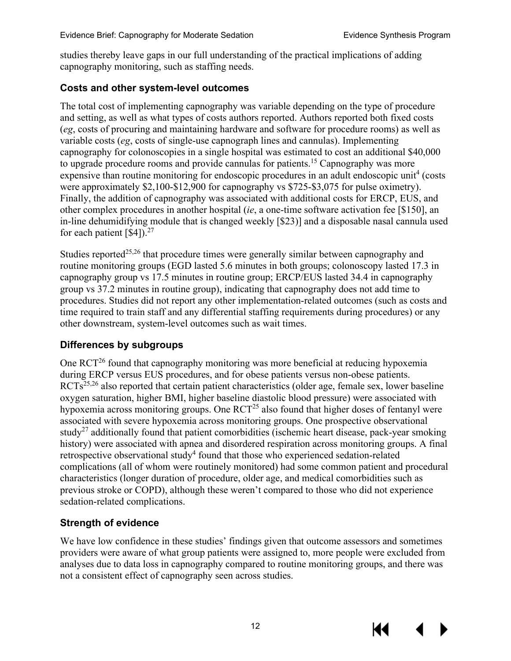studies thereby leave gaps in our full understanding of the practical implications of adding capnography monitoring, such as staffing needs.

#### <span id="page-15-0"></span>**Costs and other system-level outcomes**

The total cost of implementing capnography was variable depending on the type of procedure and setting, as well as what types of costs authors reported. Authors reported both fixed costs (*eg*, costs of procuring and maintaining hardware and software for procedure rooms) as well as variable costs (*eg*, costs of single-use capnograph lines and cannulas). Implementing capnography for colonoscopies in a single hospital was estimated to cost an additional \$40,000 to upgrade procedure rooms and provide cannulas for patients.<sup>[15](#page-27-13)</sup> Capnography was more expensive than routine monitoring for endoscopic procedures in an adult endoscopic unit<sup>[4](#page-27-4)</sup> (costs) were approximately \$2,100-\$12,900 for capnography vs \$725-\$3,075 for pulse oximetry). Finally, the addition of capnography was associated with additional costs for ERCP, EUS, and other complex procedures in another hospital (*ie*, a one-time software activation fee [\$150], an in-line dehumidifying module that is changed weekly [\$23)] and a disposable nasal cannula used for each patient [\$4]).<sup>[27](#page-28-8)</sup>

Studies reported<sup>[25,](#page-28-10)[26](#page-28-11)</sup> that procedure times were generally similar between capnography and routine monitoring groups (EGD lasted 5.6 minutes in both groups; colonoscopy lasted 17.3 in capnography group vs 17.5 minutes in routine group; ERCP/EUS lasted 34.4 in capnography group vs 37.2 minutes in routine group), indicating that capnography does not add time to procedures. Studies did not report any other implementation-related outcomes (such as costs and time required to train staff and any differential staffing requirements during procedures) or any other downstream, system-level outcomes such as wait times.

## <span id="page-15-1"></span>**Differences by subgroups**

One RC[T26](#page-28-11) found that capnography monitoring was more beneficial at reducing hypoxemia during ERCP versus EUS procedures, and for obese patients versus non-obese patients. RCTs<sup>[25,](#page-28-10)[26](#page-28-11)</sup> also reported that certain patient characteristics (older age, female sex, lower baseline oxygen saturation, higher BMI, higher baseline diastolic blood pressure) were associated with hypoxemia across monitoring groups. One RCT<sup>25</sup> also found that higher doses of fentanyl were associated with severe hypoxemia across monitoring groups. One prospective observational study<sup>[27](#page-28-8)</sup> additionally found that patient comorbidities (ischemic heart disease, pack-year smoking history) were associated with apnea and disordered respiration across monitoring groups. A final retrospective observational study<sup>4</sup> found that those who experienced sedation-related complications (all of whom were routinely monitored) had some common patient and procedural characteristics (longer duration of procedure, older age, and medical comorbidities such as previous stroke or COPD), although these weren't compared to those who did not experience sedation-related complications.

## <span id="page-15-2"></span>**Strength of evidence**

We have low confidence in these studies' findings given that outcome assessors and sometimes providers were aware of what group patients were assigned to, more people were excluded from analyses due to data loss in capnography compared to routine monitoring groups, and there was not a consistent effect of capnography seen across studies.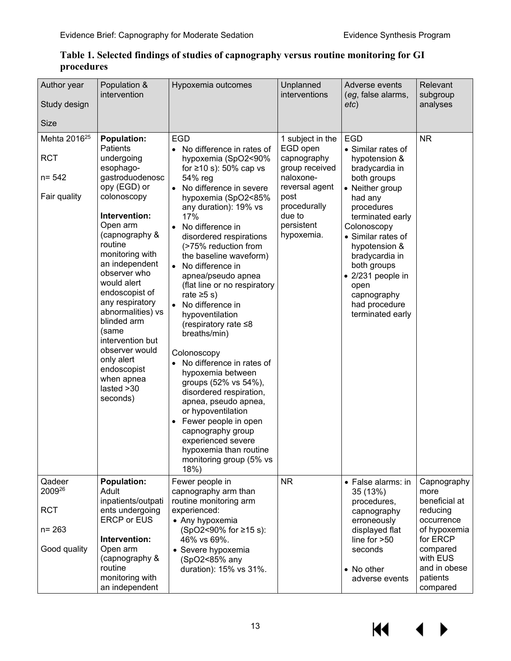| Author year<br>Study design<br>Size                                 | Population &<br>intervention                                                                                                                                                                                                                                                                                                                                                                                                            | Hypoxemia outcomes                                                                                                                                                                                                                                                                                                                                                                                                                                                                                                                                                                                                                                                                                                                                                                                    | Unplanned<br>interventions                                                                                                                                 | Adverse events<br>(eg, false alarms,<br>etc)                                                                                                                                                                                                                                                                               | Relevant<br>subgroup<br>analyses                                                                                                                           |
|---------------------------------------------------------------------|-----------------------------------------------------------------------------------------------------------------------------------------------------------------------------------------------------------------------------------------------------------------------------------------------------------------------------------------------------------------------------------------------------------------------------------------|-------------------------------------------------------------------------------------------------------------------------------------------------------------------------------------------------------------------------------------------------------------------------------------------------------------------------------------------------------------------------------------------------------------------------------------------------------------------------------------------------------------------------------------------------------------------------------------------------------------------------------------------------------------------------------------------------------------------------------------------------------------------------------------------------------|------------------------------------------------------------------------------------------------------------------------------------------------------------|----------------------------------------------------------------------------------------------------------------------------------------------------------------------------------------------------------------------------------------------------------------------------------------------------------------------------|------------------------------------------------------------------------------------------------------------------------------------------------------------|
| Mehta 2016 <sup>25</sup><br><b>RCT</b><br>$n = 542$<br>Fair quality | <b>Population:</b><br>Patients<br>undergoing<br>esophago-<br>gastroduodenosc<br>opy (EGD) or<br>colonoscopy<br>Intervention:<br>Open arm<br>(capnography &<br>routine<br>monitoring with<br>an independent<br>observer who<br>would alert<br>endoscopist of<br>any respiratory<br>abnormalities) vs<br>blinded arm<br>(same<br>intervention but<br>observer would<br>only alert<br>endoscopist<br>when apnea<br>lasted > 30<br>seconds) | <b>EGD</b><br>No difference in rates of<br>hypoxemia (SpO2<90%<br>for $\geq 10$ s): 50% cap vs<br>54% reg<br>No difference in severe<br>hypoxemia (SpO2<85%<br>any duration): 19% vs<br>17%<br>No difference in<br>$\bullet$<br>disordered respirations<br>(>75% reduction from<br>the baseline waveform)<br>No difference in<br>apnea/pseudo apnea<br>(flat line or no respiratory<br>rate $\geq 5$ s)<br>No difference in<br>hypoventilation<br>(respiratory rate ≤8<br>breaths/min)<br>Colonoscopy<br>No difference in rates of<br>hypoxemia between<br>groups (52% vs 54%),<br>disordered respiration,<br>apnea, pseudo apnea,<br>or hypoventilation<br>Fewer people in open<br>$\bullet$<br>capnography group<br>experienced severe<br>hypoxemia than routine<br>monitoring group (5% vs<br>18%) | 1 subject in the<br>EGD open<br>capnography<br>group received<br>naloxone-<br>reversal agent<br>post<br>procedurally<br>due to<br>persistent<br>hypoxemia. | <b>EGD</b><br>• Similar rates of<br>hypotension &<br>bradycardia in<br>both groups<br>• Neither group<br>had any<br>procedures<br>terminated early<br>Colonoscopy<br>• Similar rates of<br>hypotension &<br>bradycardia in<br>both groups<br>• 2/231 people in<br>open<br>capnography<br>had procedure<br>terminated early | <b>NR</b>                                                                                                                                                  |
| Qadeer<br>200926<br><b>RCT</b><br>$n = 263$<br>Good quality         | <b>Population:</b><br>Adult<br>inpatients/outpati<br>ents undergoing<br><b>ERCP or EUS</b><br>Intervention:<br>Open arm<br>(capnography &<br>routine<br>monitoring with<br>an independent                                                                                                                                                                                                                                               | Fewer people in<br>capnography arm than<br>routine monitoring arm<br>experienced:<br>• Any hypoxemia<br>(SpO2<90% for ≥15 s):<br>46% vs 69%.<br>• Severe hypoxemia<br>(SpO2<85% any<br>duration): 15% vs 31%.                                                                                                                                                                                                                                                                                                                                                                                                                                                                                                                                                                                         | <b>NR</b>                                                                                                                                                  | • False alarms: in<br>35 (13%)<br>procedures,<br>capnography<br>erroneously<br>displayed flat<br>line for >50<br>seconds<br>• No other<br>adverse events                                                                                                                                                                   | Capnography<br>more<br>beneficial at<br>reducing<br>occurrence<br>of hypoxemia<br>for ERCP<br>compared<br>with EUS<br>and in obese<br>patients<br>compared |

#### <span id="page-16-0"></span>**Table 1. Selected findings of studies of capnography versus routine monitoring for GI procedures**

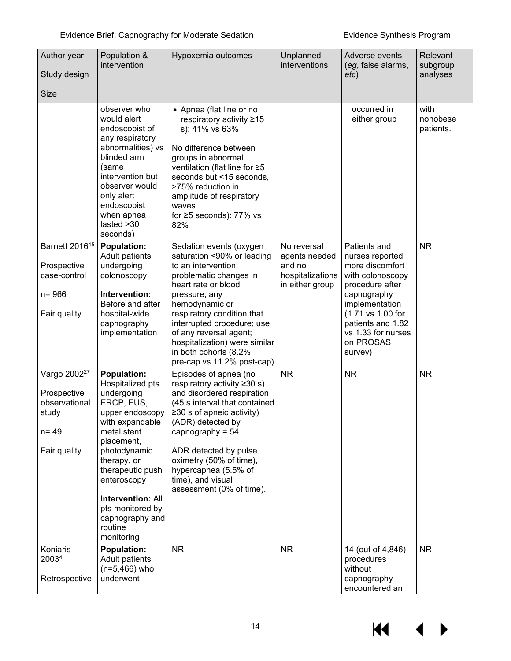| Author year<br>Study design<br><b>Size</b>                                                    | Population &<br>intervention                                                                                                                                                                                                                                                                        | Hypoxemia outcomes                                                                                                                                                                                                                                                                                                                             | Unplanned<br>interventions                                                    | Adverse events<br>(eg, false alarms,<br>etc)                                                                                                                                                                       | Relevant<br>subgroup<br>analyses |
|-----------------------------------------------------------------------------------------------|-----------------------------------------------------------------------------------------------------------------------------------------------------------------------------------------------------------------------------------------------------------------------------------------------------|------------------------------------------------------------------------------------------------------------------------------------------------------------------------------------------------------------------------------------------------------------------------------------------------------------------------------------------------|-------------------------------------------------------------------------------|--------------------------------------------------------------------------------------------------------------------------------------------------------------------------------------------------------------------|----------------------------------|
|                                                                                               | observer who<br>would alert<br>endoscopist of<br>any respiratory<br>abnormalities) vs<br>blinded arm<br>(same<br>intervention but<br>observer would<br>only alert<br>endoscopist<br>when apnea<br>lasted > 30<br>seconds)                                                                           | • Apnea (flat line or no<br>respiratory activity ≥15<br>s): 41% vs 63%<br>No difference between<br>groups in abnormal<br>ventilation (flat line for ≥5<br>seconds but <15 seconds,<br>>75% reduction in<br>amplitude of respiratory<br>waves<br>for $\geq$ 5 seconds): 77% vs<br>82%                                                           |                                                                               | occurred in<br>either group                                                                                                                                                                                        | with<br>nonobese<br>patients.    |
| Barnett 2016 <sup>15</sup><br>Prospective<br>case-control<br>$n = 966$<br>Fair quality        | <b>Population:</b><br>Adult patients<br>undergoing<br>colonoscopy<br>Intervention:<br>Before and after<br>hospital-wide<br>capnography<br>implementation                                                                                                                                            | Sedation events (oxygen<br>saturation <90% or leading<br>to an intervention;<br>problematic changes in<br>heart rate or blood<br>pressure; any<br>hemodynamic or<br>respiratory condition that<br>interrupted procedure; use<br>of any reversal agent;<br>hospitalization) were similar<br>in both cohorts (8.2%<br>pre-cap vs 11.2% post-cap) | No reversal<br>agents needed<br>and no<br>hospitalizations<br>in either group | Patients and<br>nurses reported<br>more discomfort<br>with colonoscopy<br>procedure after<br>capnography<br>implementation<br>(1.71 vs 1.00 for<br>patients and 1.82<br>vs 1.33 for nurses<br>on PROSAS<br>survey) | <b>NR</b>                        |
| Vargo 2002 <sup>27</sup><br>Prospective<br>observational<br>study<br>$n = 49$<br>Fair quality | <b>Population:</b><br>Hospitalized pts<br>undergoing<br>ERCP, EUS,<br>upper endoscopy<br>with expandable<br>metal stent<br>placement,<br>photodynamic<br>therapy, or<br>therapeutic push<br>enteroscopy<br><b>Intervention: All</b><br>pts monitored by<br>capnography and<br>routine<br>monitoring | Episodes of apnea (no<br>respiratory activity $\geq 30$ s)<br>and disordered respiration<br>(45 s interval that contained<br>$\geq$ 30 s of apneic activity)<br>(ADR) detected by<br>capnography = $54$ .<br>ADR detected by pulse<br>oximetry (50% of time),<br>hypercapnea (5.5% of<br>time), and visual<br>assessment (0% of time).         | <b>NR</b>                                                                     | <b>NR</b>                                                                                                                                                                                                          | <b>NR</b>                        |
| Koniaris<br>20034<br>Retrospective                                                            | <b>Population:</b><br>Adult patients<br>$(n=5,466)$ who<br>underwent                                                                                                                                                                                                                                | <b>NR</b>                                                                                                                                                                                                                                                                                                                                      | <b>NR</b>                                                                     | 14 (out of 4,846)<br>procedures<br>without<br>capnography<br>encountered an                                                                                                                                        | <b>NR</b>                        |

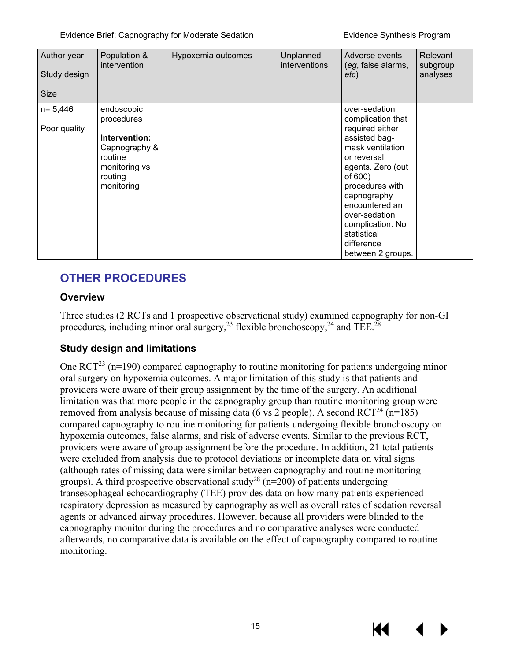| Author year<br>Study design<br><b>Size</b> | Population &<br>intervention                                                                                    | Hypoxemia outcomes | Unplanned<br>interventions | Adverse events<br>(eg, false alarms,<br>etc)                                                                                                                                                                                                                                         | Relevant<br>subgroup<br>analyses |
|--------------------------------------------|-----------------------------------------------------------------------------------------------------------------|--------------------|----------------------------|--------------------------------------------------------------------------------------------------------------------------------------------------------------------------------------------------------------------------------------------------------------------------------------|----------------------------------|
| $n = 5,446$<br>Poor quality                | endoscopic<br>procedures<br>Intervention:<br>Capnography &<br>routine<br>monitoring vs<br>routing<br>monitoring |                    |                            | over-sedation<br>complication that<br>required either<br>assisted bag-<br>mask ventilation<br>or reversal<br>agents. Zero (out<br>of 600)<br>procedures with<br>capnography<br>encountered an<br>over-sedation<br>complication. No<br>statistical<br>difference<br>between 2 groups. |                                  |

# <span id="page-18-0"></span>**OTHER PROCEDURES**

#### <span id="page-18-1"></span>**Overview**

Three studies (2 RCTs and 1 prospective observational study) examined capnography for non-GI procedures, including minor oral surgery,<sup>23</sup> flexible bronchoscopy,<sup>24</sup> and TEE.<sup>28</sup>

## <span id="page-18-2"></span>**Study design and limitations**

One  $\text{RCT}^{23}$  (n=190) compared capnography to routine monitoring for patients undergoing minor oral surgery on hypoxemia outcomes. A major limitation of this study is that patients and providers were aware of their group assignment by the time of the surgery. An additional limitation was that more people in the capnography group than routine monitoring group were removed from analysis because of missing data (6 vs 2 people). A second  $RCT^{24}$  (n=185) compared capnography to routine monitoring for patients undergoing flexible bronchoscopy on hypoxemia outcomes, false alarms, and risk of adverse events. Similar to the previous RCT, providers were aware of group assignment before the procedure. In addition, 21 total patients were excluded from analysis due to protocol deviations or incomplete data on vital signs (although rates of missing data were similar between capnography and routine monitoring groups). A third prospective observational study<sup>28</sup> (n=200) of patients undergoing transesophageal echocardiography (TEE) provides data on how many patients experienced respiratory depression as measured by capnography as well as overall rates of sedation reversal agents or advanced airway procedures. However, because all providers were blinded to the capnography monitor during the procedures and no comparative analyses were conducted afterwards, no comparative data is available on the effect of capnography compared to routine monitoring.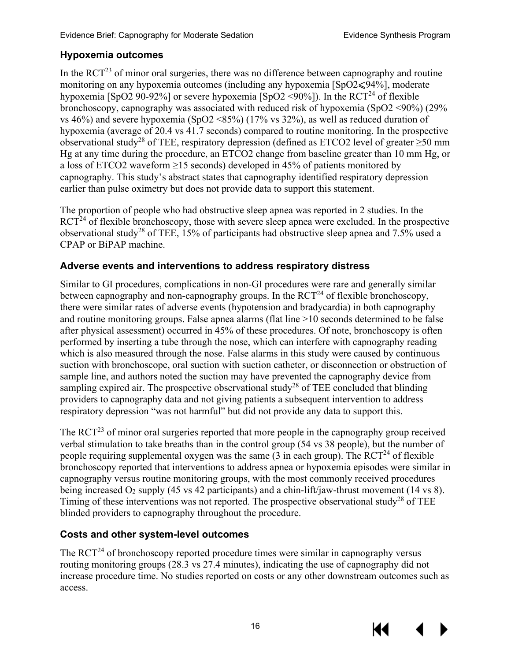## <span id="page-19-0"></span>**Hypoxemia outcomes**

In the  $\text{RCT}^{23}$  of minor oral surgeries, there was no difference between capnography and routine monitoring on any hypoxemia outcomes (including any hypoxemia  $[SpO2 \leq 94\%]$ , moderate hypoxemia [SpO2 90-92%] or severe hypoxemia [SpO2 <90%]). In the  $RCT^{24}$  of flexible bronchoscopy, capnography was associated with reduced risk of hypoxemia (SpO2 <90%) (29% vs 46%) and severe hypoxemia (SpO2 <85%) (17% vs 32%), as well as reduced duration of hypoxemia (average of 20.4 vs 41.7 seconds) compared to routine monitoring. In the prospective observational study<sup>28</sup> of TEE, respiratory depression (defined as ETCO2 level of greater  $\geq 50$  mm Hg at any time during the procedure, an ETCO2 change from baseline greater than 10 mm Hg, or a loss of ETCO2 waveform  $\geq$ 15 seconds) developed in 45% of patients monitored by capnography. This study's abstract states that capnography identified respiratory depression earlier than pulse oximetry but does not provide data to support this statement.

The proportion of people who had obstructive sleep apnea was reported in 2 studies. In the  $RCT<sup>24</sup>$  of flexible bronchoscopy, those with severe sleep apnea were excluded. In the prospective observational study<sup>28</sup> of TEE, 15% of participants had obstructive sleep apnea and 7.5% used a CPAP or BiPAP machine.

#### <span id="page-19-1"></span>**Adverse events and interventions to address respiratory distress**

Similar to GI procedures, complications in non-GI procedures were rare and generally similar between capnography and non-capnography groups. In the  $\mathrm{RCT}^{24}$  of flexible bronchoscopy, there were similar rates of adverse events (hypotension and bradycardia) in both capnography and routine monitoring groups. False apnea alarms (flat line >10 seconds determined to be false after physical assessment) occurred in 45% of these procedures. Of note, bronchoscopy is often performed by inserting a tube through the nose, which can interfere with capnography reading which is also measured through the nose. False alarms in this study were caused by continuous suction with bronchoscope, oral suction with suction catheter, or disconnection or obstruction of sample line, and authors noted the suction may have prevented the capnography device from sampling expired air. The prospective observational study<sup>28</sup> of TEE concluded that blinding providers to capnography data and not giving patients a subsequent intervention to address respiratory depression "was not harmful" but did not provide any data to support this.

The  $RCT<sup>23</sup>$  of minor oral surgeries reported that more people in the capnography group received verbal stimulation to take breaths than in the control group (54 vs 38 people), but the number of people requiring supplemental oxygen was the same  $(3 \text{ in each group})$ . The RCT<sup>24</sup> of flexible bronchoscopy reported that interventions to address apnea or hypoxemia episodes were similar in capnography versus routine monitoring groups, with the most commonly received procedures being increased  $O_2$  supply (45 vs 42 participants) and a chin-lift/jaw-thrust movement (14 vs 8). Timing of these interventions was not reported. The prospective observational study<sup>28</sup> of TEE blinded providers to capnography throughout the procedure.

## <span id="page-19-2"></span>**Costs and other system-level outcomes**

The RCT<sup>24</sup> of bronchoscopy reported procedure times were similar in capnography versus routing monitoring groups (28.3 vs 27.4 minutes), indicating the use of capnography did not increase procedure time. No studies reported on costs or any other downstream outcomes such as access.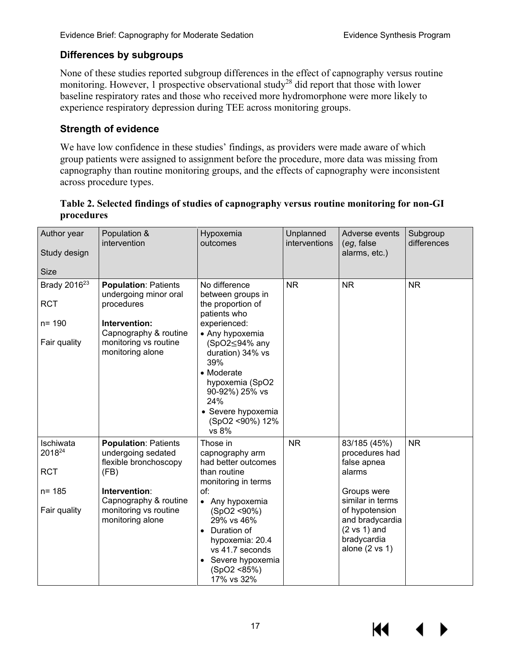#### <span id="page-20-0"></span>**Differences by subgroups**

None of these studies reported subgroup differences in the effect of capnography versus routine monitoring. However, 1 prospective observational study<sup>28</sup> did report that those with lower baseline respiratory rates and those who received more hydromorphone were more likely to experience respiratory depression during TEE across monitoring groups.

#### <span id="page-20-1"></span>**Strength of evidence**

We have low confidence in these studies' findings, as providers were made aware of which group patients were assigned to assignment before the procedure, more data was missing from capnography than routine monitoring groups, and the effects of capnography were inconsistent across procedure types.

#### <span id="page-20-2"></span>**Table 2. Selected findings of studies of capnography versus routine monitoring for non-GI procedures**

| Author year<br>Study design<br><b>Size</b>                          | Population &<br>intervention                                                                                                                                              | Hypoxemia<br>outcomes                                                                                                                                                                                                                                               | Unplanned<br>interventions | Adverse events<br>(eg, false)<br>alarms, etc.)                                                                                                                                                         | Subgroup<br>differences |
|---------------------------------------------------------------------|---------------------------------------------------------------------------------------------------------------------------------------------------------------------------|---------------------------------------------------------------------------------------------------------------------------------------------------------------------------------------------------------------------------------------------------------------------|----------------------------|--------------------------------------------------------------------------------------------------------------------------------------------------------------------------------------------------------|-------------------------|
| Brady 2016 <sup>23</sup><br><b>RCT</b><br>$n = 190$<br>Fair quality | <b>Population: Patients</b><br>undergoing minor oral<br>procedures<br>Intervention:<br>Capnography & routine<br>monitoring vs routine<br>monitoring alone                 | No difference<br>between groups in<br>the proportion of<br>patients who<br>experienced:<br>• Any hypoxemia<br>(SpO2≤94% any<br>duration) 34% vs<br>39%<br>• Moderate<br>hypoxemia (SpO2<br>90-92%) 25% vs<br>24%<br>• Severe hypoxemia<br>(SpO2 <90%) 12%<br>vs 8%  | <b>NR</b>                  | <b>NR</b>                                                                                                                                                                                              | <b>NR</b>               |
| Ischiwata<br>201824<br><b>RCT</b><br>$n = 185$<br>Fair quality      | <b>Population: Patients</b><br>undergoing sedated<br>flexible bronchoscopy<br>(FB)<br>Intervention:<br>Capnography & routine<br>monitoring vs routine<br>monitoring alone | Those in<br>capnography arm<br>had better outcomes<br>than routine<br>monitoring in terms<br>of:<br>• Any hypoxemia<br>(SpO2 <90%)<br>29% vs 46%<br>Duration of<br>$\bullet$<br>hypoxemia: 20.4<br>vs 41.7 seconds<br>Severe hypoxemia<br>(SpO2 <85%)<br>17% vs 32% | <b>NR</b>                  | 83/185 (45%)<br>procedures had<br>false apnea<br>alarms<br>Groups were<br>similar in terms<br>of hypotension<br>and bradycardia<br>$(2 \text{ vs } 1)$ and<br>bradycardia<br>alone $(2 \text{ vs } 1)$ | <b>NR</b>               |

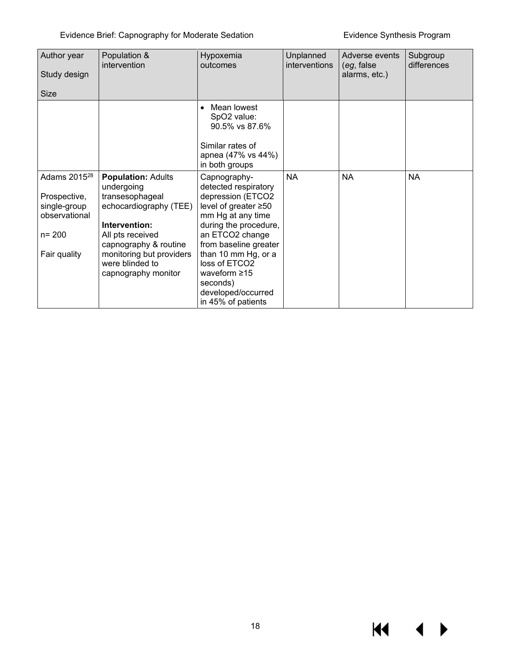$M = 1$ 

 $\blacktriangleright$ 

| Author year<br>Study design<br><b>Size</b>                                                             | Population &<br>intervention                                                                                                                                                                                             | Hypoxemia<br>outcomes                                                                                                                                                                                                                                                                             | Unplanned<br>interventions | Adverse events<br>(eg, false<br>alarms, etc.) | Subgroup<br>differences |
|--------------------------------------------------------------------------------------------------------|--------------------------------------------------------------------------------------------------------------------------------------------------------------------------------------------------------------------------|---------------------------------------------------------------------------------------------------------------------------------------------------------------------------------------------------------------------------------------------------------------------------------------------------|----------------------------|-----------------------------------------------|-------------------------|
|                                                                                                        |                                                                                                                                                                                                                          | Mean lowest<br>$\bullet$<br>SpO2 value:<br>90.5% vs 87.6%<br>Similar rates of<br>apnea (47% vs 44%)<br>in both groups                                                                                                                                                                             |                            |                                               |                         |
| Adams 2015 <sup>28</sup><br>Prospective,<br>single-group<br>observational<br>$n = 200$<br>Fair quality | <b>Population: Adults</b><br>undergoing<br>transesophageal<br>echocardiography (TEE)<br>Intervention:<br>All pts received<br>capnography & routine<br>monitoring but providers<br>were blinded to<br>capnography monitor | Capnography-<br>detected respiratory<br>depression (ETCO2<br>level of greater ≥50<br>mm Hg at any time<br>during the procedure,<br>an ETCO2 change<br>from baseline greater<br>than 10 mm Hg, or a<br>loss of ETCO2<br>waveform $\geq 15$<br>seconds)<br>developed/occurred<br>in 45% of patients | <b>NA</b>                  | <b>NA</b>                                     | <b>NA</b>               |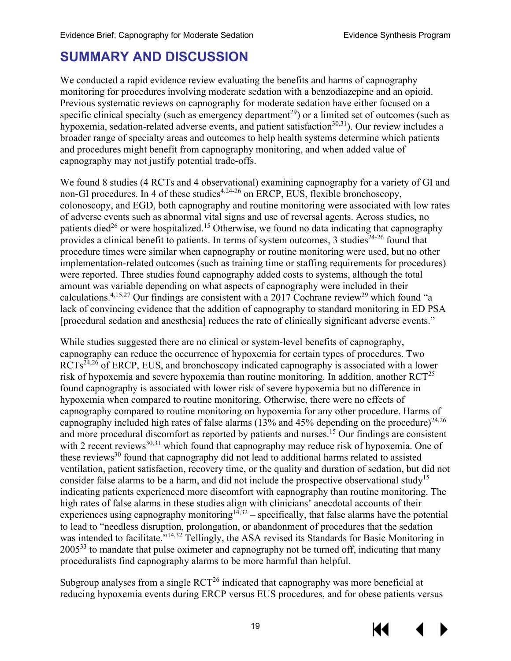# <span id="page-22-0"></span>**SUMMARY AND DISCUSSION**

We conducted a rapid evidence review evaluating the benefits and harms of capnography monitoring for procedures involving moderate sedation with a benzodiazepine and an opioid. Previous systematic reviews on capnography for moderate sedation have either focused on a specific clinical specialty (such as emergency department<sup>29</sup>) or a limited set of outcomes (such as hypoxemia, sedation-related adverse events, and patient satisfaction<sup>30,31</sup>). Our review includes a broader range of specialty areas and outcomes to help health systems determine which patients and procedures might benefit from capnography monitoring, and when added value of capnography may not justify potential trade-offs.

We found 8 studies (4 RCTs and 4 observational) examining capnography for a variety of GI and non-GI procedures. In 4 of these studies<sup>[4,](#page-27-4)[24-26](#page-28-12)</sup> on ERCP, EUS, flexible bronchoscopy, colonoscopy, and EGD, both capnography and routine monitoring were associated with low rates of adverse events such as abnormal vital signs and use of reversal agents. Across studies, no patients died<sup>26</sup> or were hospitalized.<sup>[15](#page-27-13)</sup> Otherwise, we found no data indicating that capnography provides a clinical benefit to patients. In terms of system outcomes, 3 studies<sup>[24-26](#page-28-12)</sup> found that procedure times were similar when capnography or routine monitoring were used, but no other implementation-related outcomes (such as training time or staffing requirements for procedures) were reported. Three studies found capnography added costs to systems, although the total amount was variable depending on what aspects of capnography were included in their calculations.<sup>4,[15,](#page-27-13)[27](#page-28-8)</sup> Our findings are consistent with a 2017 Cochrane review<sup>29</sup> which found "a lack of convincing evidence that the addition of capnography to standard monitoring in ED PSA [procedural sedation and anesthesia] reduces the rate of clinically significant adverse events."

While studies suggested there are no clinical or system-level benefits of capnography, capnography can reduce the occurrence of hypoxemia for certain types of procedures. Two  $RCTs^{24,26}$  $RCTs^{24,26}$  $RCTs^{24,26}$  $RCTs^{24,26}$  of ERCP, EUS, and bronchoscopy indicated capnography is associated with a lower risk of hypoxemia and severe hypoxemia than routine monitoring. In addition, another  $RCT^{25}$ found capnography is associated with lower risk of severe hypoxemia but no difference in hypoxemia when compared to routine monitoring. Otherwise, there were no effects of capnography compared to routine monitoring on hypoxemia for any other procedure. Harms of capnography included high rates of false alarms (13% and 45% depending on the procedure)<sup>[24,](#page-28-12)[26](#page-28-11)</sup> and more procedural discomfort as reported by patients and nurses.<sup>15</sup> Our findings are consistent with 2 recent reviews $^{30,31}$  $^{30,31}$  $^{30,31}$  $^{30,31}$  which found that capnography may reduce risk of hypoxemia. One of these reviews<sup>[30](#page-28-14)</sup> found that capnography did not lead to additional harms related to assisted ventilation, patient satisfaction, recovery time, or the quality and duration of sedation, but did not consider false alarms to be a harm, and did not include the prospective observational study<sup>15</sup> indicating patients experienced more discomfort with capnography than routine monitoring. The high rates of false alarms in these studies align with clinicians' anecdotal accounts of their experiences using capnography monitoring<sup>14,[32](#page-28-16)</sup> – specifically, that false alarms have the potential to lead to "needless disruption, prolongation, or abandonment of procedures that the sedation was intended to facilitate.<sup>"[14,](#page-27-12)[32](#page-28-16)</sup> Tellingly, the ASA revised its Standards for Basic Monitoring in 2005<sup>[33](#page-29-0)</sup> to mandate that pulse oximeter and capnography not be turned off, indicating that many proceduralists find capnography alarms to be more harmful than helpful.

Subgroup analyses from a single  $RCT<sup>26</sup>$  indicated that capnography was more beneficial at reducing hypoxemia events during ERCP versus EUS procedures, and for obese patients versus

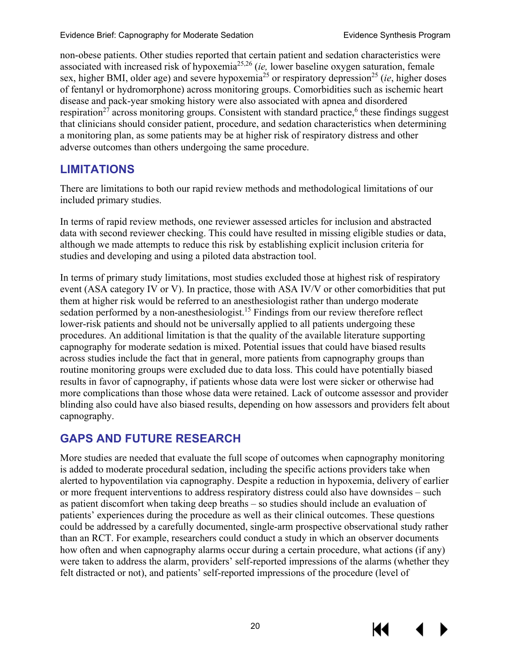non-obese patients. Other studies reported that certain patient and sedation characteristics were associated with increased risk of hypoxemi[a25,](#page-28-10)[26](#page-28-11) (*ie,* lower baseline oxygen saturation, female sex, higher BMI, older age) and severe hypoxemia<sup>[25](#page-28-10)</sup> or respiratory depression<sup>25</sup> (*ie*, higher doses of fentanyl or hydromorphone) across monitoring groups. Comorbidities such as ischemic heart disease and pack-year smoking history were also associated with apnea and disordered respiration<sup>[27](#page-28-8)</sup> across monitoring groups. Consistent with standard practice,<sup>6</sup> these findings suggest that clinicians should consider patient, procedure, and sedation characteristics when determining a monitoring plan, as some patients may be at higher risk of respiratory distress and other adverse outcomes than others undergoing the same procedure.

# <span id="page-23-0"></span>**LIMITATIONS**

There are limitations to both our rapid review methods and methodological limitations of our included primary studies.

In terms of rapid review methods, one reviewer assessed articles for inclusion and abstracted data with second reviewer checking. This could have resulted in missing eligible studies or data, although we made attempts to reduce this risk by establishing explicit inclusion criteria for studies and developing and using a piloted data abstraction tool.

In terms of primary study limitations, most studies excluded those at highest risk of respiratory event (ASA category IV or V). In practice, those with ASA IV/V or other comorbidities that put them at higher risk would be referred to an anesthesiologist rather than undergo moderate sedation performed by a non-anesthesiologist.<sup>15</sup> Findings from our review therefore reflect lower-risk patients and should not be universally applied to all patients undergoing these procedures. An additional limitation is that the quality of the available literature supporting capnography for moderate sedation is mixed. Potential issues that could have biased results across studies include the fact that in general, more patients from capnography groups than routine monitoring groups were excluded due to data loss. This could have potentially biased results in favor of capnography, if patients whose data were lost were sicker or otherwise had more complications than those whose data were retained. Lack of outcome assessor and provider blinding also could have also biased results, depending on how assessors and providers felt about capnography.

# <span id="page-23-1"></span>**GAPS AND FUTURE RESEARCH**

More studies are needed that evaluate the full scope of outcomes when capnography monitoring is added to moderate procedural sedation, including the specific actions providers take when alerted to hypoventilation via capnography. Despite a reduction in hypoxemia, delivery of earlier or more frequent interventions to address respiratory distress could also have downsides – such as patient discomfort when taking deep breaths – so studies should include an evaluation of patients' experiences during the procedure as well as their clinical outcomes. These questions could be addressed by a carefully documented, single-arm prospective observational study rather than an RCT. For example, researchers could conduct a study in which an observer documents how often and when capnography alarms occur during a certain procedure, what actions (if any) were taken to address the alarm, providers' self-reported impressions of the alarms (whether they felt distracted or not), and patients' self-reported impressions of the procedure (level of



КС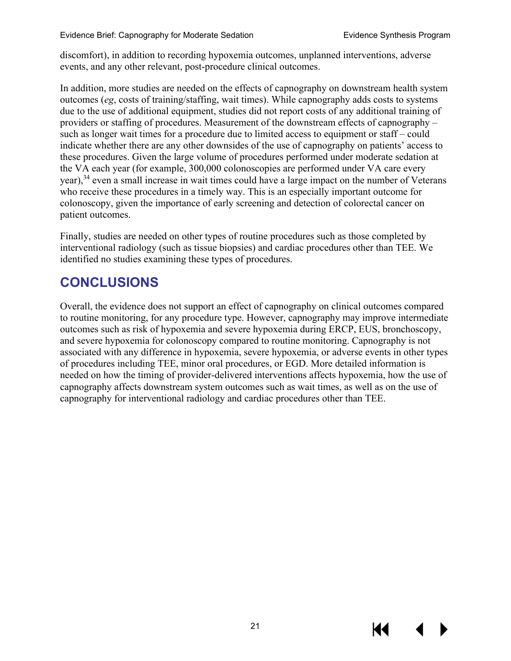discomfort), in addition to recording hypoxemia outcomes, unplanned interventions, adverse events, and any other relevant, post-procedure clinical outcomes.

In addition, more studies are needed on the effects of capnography on downstream health system outcomes (*eg*, costs of training/staffing, wait times). While capnography adds costs to systems due to the use of additional equipment, studies did not report costs of any additional training of providers or staffing of procedures. Measurement of the downstream effects of capnography – such as longer wait times for a procedure due to limited access to equipment or staff – could indicate whether there are any other downsides of the use of capnography on patients' access to these procedures. Given the large volume of procedures performed under moderate sedation at the VA each year (for example, 300,000 colonoscopies are performed under VA care every year),<sup>[34](#page-29-1)</sup> even a small increase in wait times could have a large impact on the number of Veterans who receive these procedures in a timely way. This is an especially important outcome for colonoscopy, given the importance of early screening and detection of colorectal cancer on patient outcomes.

Finally, studies are needed on other types of routine procedures such as those completed by interventional radiology (such as tissue biopsies) and cardiac procedures other than TEE. We identified no studies examining these types of procedures.

# <span id="page-24-0"></span>**CONCLUSIONS**

Overall, the evidence does not support an effect of capnography on clinical outcomes compared to routine monitoring, for any procedure type. However, capnography may improve intermediate outcomes such as risk of hypoxemia and severe hypoxemia during ERCP, EUS, bronchoscopy, and severe hypoxemia for colonoscopy compared to routine monitoring. Capnography is not associated with any difference in hypoxemia, severe hypoxemia, or adverse events in other types of procedures including TEE, minor oral procedures, or EGD. More detailed information is needed on how the timing of provider-delivered interventions affects hypoxemia, how the use of capnography affects downstream system outcomes such as wait times, as well as on the use of capnography for interventional radiology and cardiac procedures other than TEE.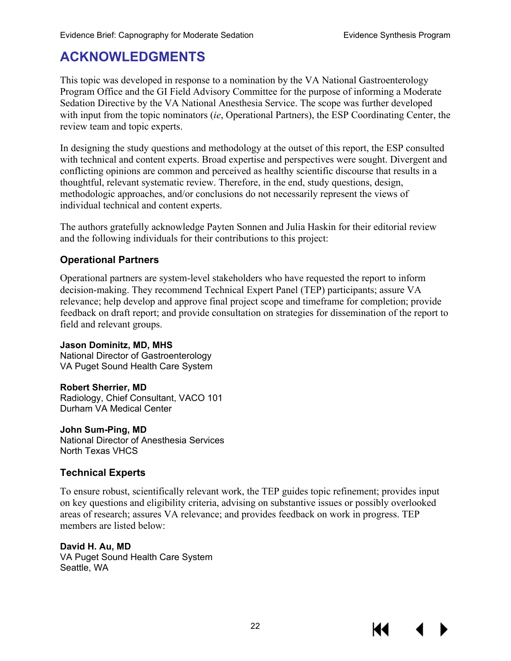# <span id="page-25-0"></span>**ACKNOWLEDGMENTS**

This topic was developed in response to a nomination by the VA National Gastroenterology Program Office and the GI Field Advisory Committee for the purpose of informing a Moderate Sedation Directive by the VA National Anesthesia Service. The scope was further developed with input from the topic nominators (*ie*, Operational Partners), the ESP Coordinating Center, the review team and topic experts.

In designing the study questions and methodology at the outset of this report, the ESP consulted with technical and content experts. Broad expertise and perspectives were sought. Divergent and conflicting opinions are common and perceived as healthy scientific discourse that results in a thoughtful, relevant systematic review. Therefore, in the end, study questions, design, methodologic approaches, and/or conclusions do not necessarily represent the views of individual technical and content experts.

The authors gratefully acknowledge Payten Sonnen and Julia Haskin for their editorial review and the following individuals for their contributions to this project:

#### **Operational Partners**

Operational partners are system-level stakeholders who have requested the report to inform decision-making. They recommend Technical Expert Panel (TEP) participants; assure VA relevance; help develop and approve final project scope and timeframe for completion; provide feedback on draft report; and provide consultation on strategies for dissemination of the report to field and relevant groups.

**Jason Dominitz, MD, MHS** National Director of Gastroenterology VA Puget Sound Health Care System

**Robert Sherrier, MD** Radiology, Chief Consultant, VACO 101 Durham VA Medical Center

**John Sum-Ping, MD** National Director of Anesthesia Services North Texas VHCS

#### **Technical Experts**

To ensure robust, scientifically relevant work, the TEP guides topic refinement; provides input on key questions and eligibility criteria, advising on substantive issues or possibly overlooked areas of research; assures VA relevance; and provides feedback on work in progress. TEP members are listed below:

#### **David H. Au, MD**

VA Puget Sound Health Care System Seattle, WA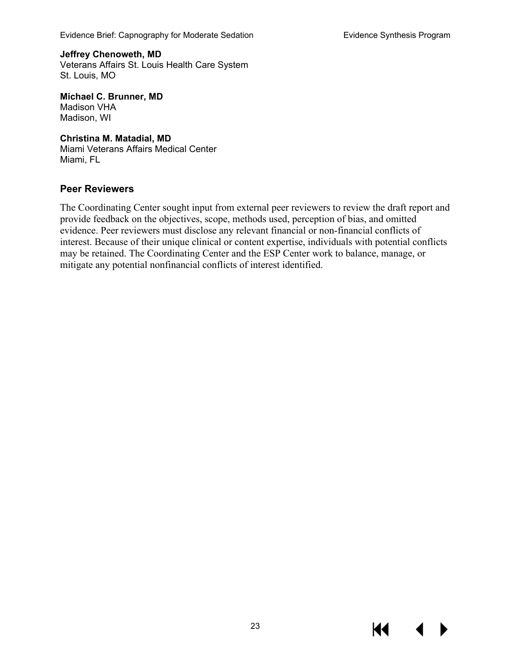Evidence Brief: Capnography for Moderate Sedation **Exited and Series Contracts** Evidence Synthesis Program

**Jeffrey Chenoweth, MD** Veterans Affairs St. Louis Health Care System St. Louis, MO

**Michael C. Brunner, MD** Madison VHA Madison, WI

**Christina M. Matadial, MD** [Miami Veterans Affairs Medical Center](https://www.bing.com/search?q=Miami+Veterans+Affairs+Medical+Center&filters=local_ypid%3a%22187x151807395%22&FORM=SNAPST) Miami, FL

#### **Peer Reviewers**

The Coordinating Center sought input from external peer reviewers to review the draft report and provide feedback on the objectives, scope, methods used, perception of bias, and omitted evidence. Peer reviewers must disclose any relevant financial or non-financial conflicts of interest. Because of their unique clinical or content expertise, individuals with potential conflicts may be retained. The Coordinating Center and the ESP Center work to balance, manage, or mitigate any potential nonfinancial conflicts of interest identified.

К€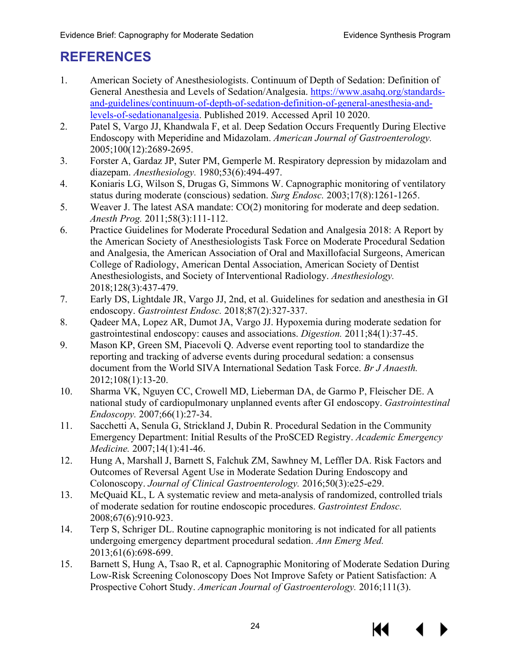# <span id="page-27-0"></span>**REFERENCES**

- <span id="page-27-1"></span>1. American Society of Anesthesiologists. Continuum of Depth of Sedation: Definition of General Anesthesia and Levels of Sedation/Analgesia. [https://www.asahq.org/standards](https://www.asahq.org/standards-and-guidelines/continuum-of-depth-of-sedation-definition-of-general-anesthesia-and-levels-of-sedationanalgesia)[and-guidelines/continuum-of-depth-of-sedation-definition-of-general-anesthesia-and](https://www.asahq.org/standards-and-guidelines/continuum-of-depth-of-sedation-definition-of-general-anesthesia-and-levels-of-sedationanalgesia)[levels-of-sedationanalgesia.](https://www.asahq.org/standards-and-guidelines/continuum-of-depth-of-sedation-definition-of-general-anesthesia-and-levels-of-sedationanalgesia) Published 2019. Accessed April 10 2020.
- <span id="page-27-2"></span>2. Patel S, Vargo JJ, Khandwala F, et al. Deep Sedation Occurs Frequently During Elective Endoscopy with Meperidine and Midazolam. *American Journal of Gastroenterology.*  2005;100(12):2689-2695.
- <span id="page-27-3"></span>3. Forster A, Gardaz JP, Suter PM, Gemperle M. Respiratory depression by midazolam and diazepam. *Anesthesiology.* 1980;53(6):494-497.
- <span id="page-27-4"></span>4. Koniaris LG, Wilson S, Drugas G, Simmons W. Capnographic monitoring of ventilatory status during moderate (conscious) sedation. *Surg Endosc.* 2003;17(8):1261-1265.
- <span id="page-27-5"></span>5. Weaver J. The latest ASA mandate: CO(2) monitoring for moderate and deep sedation. *Anesth Prog.* 2011;58(3):111-112.
- <span id="page-27-6"></span>6. Practice Guidelines for Moderate Procedural Sedation and Analgesia 2018: A Report by the American Society of Anesthesiologists Task Force on Moderate Procedural Sedation and Analgesia, the American Association of Oral and Maxillofacial Surgeons, American College of Radiology, American Dental Association, American Society of Dentist Anesthesiologists, and Society of Interventional Radiology. *Anesthesiology.*  2018;128(3):437-479.
- <span id="page-27-7"></span>7. Early DS, Lightdale JR, Vargo JJ, 2nd, et al. Guidelines for sedation and anesthesia in GI endoscopy. *Gastrointest Endosc.* 2018;87(2):327-337.
- <span id="page-27-8"></span>8. Qadeer MA, Lopez AR, Dumot JA, Vargo JJ. Hypoxemia during moderate sedation for gastrointestinal endoscopy: causes and associations. *Digestion.* 2011;84(1):37-45.
- <span id="page-27-9"></span>9. Mason KP, Green SM, Piacevoli Q. Adverse event reporting tool to standardize the reporting and tracking of adverse events during procedural sedation: a consensus document from the World SIVA International Sedation Task Force. *Br J Anaesth.*  2012;108(1):13-20.
- <span id="page-27-10"></span>10. Sharma VK, Nguyen CC, Crowell MD, Lieberman DA, de Garmo P, Fleischer DE. A national study of cardiopulmonary unplanned events after GI endoscopy. *Gastrointestinal Endoscopy.* 2007;66(1):27-34.
- <span id="page-27-11"></span>11. Sacchetti A, Senula G, Strickland J, Dubin R. Procedural Sedation in the Community Emergency Department: Initial Results of the ProSCED Registry. *Academic Emergency Medicine.* 2007;14(1):41-46.
- 12. Hung A, Marshall J, Barnett S, Falchuk ZM, Sawhney M, Leffler DA. Risk Factors and Outcomes of Reversal Agent Use in Moderate Sedation During Endoscopy and Colonoscopy. *Journal of Clinical Gastroenterology.* 2016;50(3):e25-e29.
- 13. McQuaid KL, L A systematic review and meta-analysis of randomized, controlled trials of moderate sedation for routine endoscopic procedures. *Gastrointest Endosc.*  2008;67(6):910-923.
- <span id="page-27-12"></span>14. Terp S, Schriger DL. Routine capnographic monitoring is not indicated for all patients undergoing emergency department procedural sedation. *Ann Emerg Med.*  2013;61(6):698-699.
- <span id="page-27-13"></span>15. Barnett S, Hung A, Tsao R, et al. Capnographic Monitoring of Moderate Sedation During Low-Risk Screening Colonoscopy Does Not Improve Safety or Patient Satisfaction: A Prospective Cohort Study. *American Journal of Gastroenterology.* 2016;111(3).

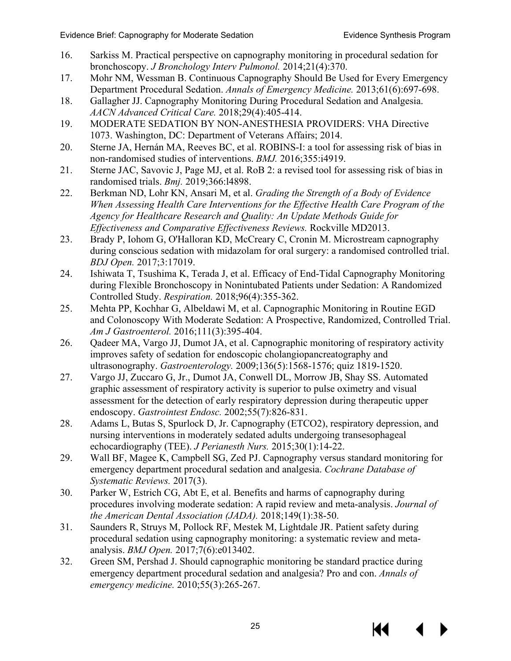- <span id="page-28-0"></span>16. Sarkiss M. Practical perspective on capnography monitoring in procedural sedation for bronchoscopy. *J Bronchology Interv Pulmonol.* 2014;21(4):370.
- <span id="page-28-1"></span>17. Mohr NM, Wessman B. Continuous Capnography Should Be Used for Every Emergency Department Procedural Sedation. *Annals of Emergency Medicine.* 2013;61(6):697-698.
- <span id="page-28-2"></span>18. Gallagher JJ. Capnography Monitoring During Procedural Sedation and Analgesia. *AACN Advanced Critical Care.* 2018;29(4):405-414.
- <span id="page-28-3"></span>19. MODERATE SEDATION BY NON-ANESTHESIA PROVIDERS: VHA Directive 1073. Washington, DC: Department of Veterans Affairs; 2014.
- <span id="page-28-4"></span>20. Sterne JA, Hernán MA, Reeves BC, et al. ROBINS-I: a tool for assessing risk of bias in non-randomised studies of interventions. *BMJ.* 2016;355:i4919.
- <span id="page-28-5"></span>21. Sterne JAC, Savovic J, Page MJ, et al. RoB 2: a revised tool for assessing risk of bias in randomised trials. *Bmj.* 2019;366:l4898.
- <span id="page-28-6"></span>22. Berkman ND, Lohr KN, Ansari M, et al. *Grading the Strength of a Body of Evidence When Assessing Health Care Interventions for the Effective Health Care Program of the Agency for Healthcare Research and Quality: An Update Methods Guide for Effectiveness and Comparative Effectiveness Reviews.* Rockville MD2013.
- <span id="page-28-7"></span>23. Brady P, Iohom G, O'Halloran KD, McCreary C, Cronin M. Microstream capnography during conscious sedation with midazolam for oral surgery: a randomised controlled trial. *BDJ Open.* 2017;3:17019.
- <span id="page-28-12"></span>24. Ishiwata T, Tsushima K, Terada J, et al. Efficacy of End-Tidal Capnography Monitoring during Flexible Bronchoscopy in Nonintubated Patients under Sedation: A Randomized Controlled Study. *Respiration.* 2018;96(4):355-362.
- <span id="page-28-10"></span>25. Mehta PP, Kochhar G, Albeldawi M, et al. Capnographic Monitoring in Routine EGD and Colonoscopy With Moderate Sedation: A Prospective, Randomized, Controlled Trial. *Am J Gastroenterol.* 2016;111(3):395-404.
- <span id="page-28-11"></span>26. Qadeer MA, Vargo JJ, Dumot JA, et al. Capnographic monitoring of respiratory activity improves safety of sedation for endoscopic cholangiopancreatography and ultrasonography. *Gastroenterology.* 2009;136(5):1568-1576; quiz 1819-1520.
- <span id="page-28-8"></span>27. Vargo JJ, Zuccaro G, Jr., Dumot JA, Conwell DL, Morrow JB, Shay SS. Automated graphic assessment of respiratory activity is superior to pulse oximetry and visual assessment for the detection of early respiratory depression during therapeutic upper endoscopy. *Gastrointest Endosc.* 2002;55(7):826-831.
- <span id="page-28-9"></span>28. Adams L, Butas S, Spurlock D, Jr. Capnography (ETCO2), respiratory depression, and nursing interventions in moderately sedated adults undergoing transesophageal echocardiography (TEE). *J Perianesth Nurs.* 2015;30(1):14-22.
- <span id="page-28-13"></span>29. Wall BF, Magee K, Campbell SG, Zed PJ. Capnography versus standard monitoring for emergency department procedural sedation and analgesia. *Cochrane Database of Systematic Reviews.* 2017(3).
- <span id="page-28-14"></span>30. Parker W, Estrich CG, Abt E, et al. Benefits and harms of capnography during procedures involving moderate sedation: A rapid review and meta-analysis. *Journal of the American Dental Association (JADA).* 2018;149(1):38-50.
- <span id="page-28-15"></span>31. Saunders R, Struys M, Pollock RF, Mestek M, Lightdale JR. Patient safety during procedural sedation using capnography monitoring: a systematic review and metaanalysis. *BMJ Open.* 2017;7(6):e013402.
- <span id="page-28-16"></span>32. Green SM, Pershad J. Should capnographic monitoring be standard practice during emergency department procedural sedation and analgesia? Pro and con. *Annals of emergency medicine.* 2010;55(3):265-267.